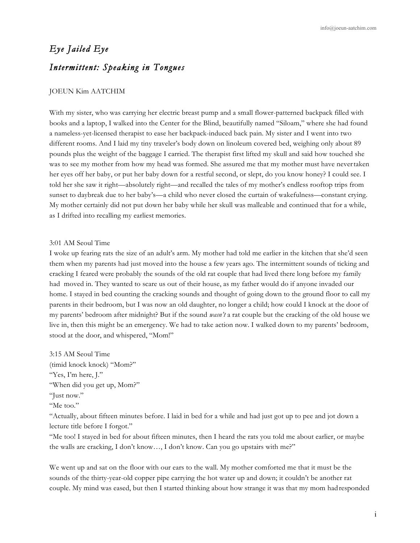## *Eye Jailed Eye Intermittent: Speaking in Tongues*

## JOEUN Kim AATCHIM

With my sister, who was carrying her electric breast pump and a small flower-patterned backpack filled with books and a laptop, I walked into the Center for the Blind, beautifully named "Siloam," where she had found a nameless-yet-licensed therapist to ease her backpack-induced back pain. My sister and I went into two different rooms. And I laid my tiny traveler's body down on linoleum covered bed, weighing only about 89 pounds plus the weight of the baggage I carried. The therapist first lifted my skull and said how touched she was to see my mother from how my head was formed. She assured me that my mother must have nevertaken her eyes off her baby, or put her baby down for a restful second, or slept, do you know honey? I could see. I told her she saw it right—absolutely right—and recalled the tales of my mother's endless rooftop trips from sunset to daybreak due to her baby's—a child who never closed the curtain of wakefulness—constant crying. My mother certainly did not put down her baby while her skull was malleable and continued that for a while, as I drifted into recalling my earliest memories.

## 3:01 AM Seoul Time

I woke up fearing rats the size of an adult's arm. My mother had told me earlier in the kitchen that she'd seen them when my parents had just moved into the house a few years ago. The intermittent sounds of ticking and cracking I feared were probably the sounds of the old rat couple that had lived there long before my family had moved in. They wanted to scare us out of their house, as my father would do if anyone invaded our home. I stayed in bed counting the cracking sounds and thought of going down to the ground floor to call my parents in their bedroom, but I was now an old daughter, no longer a child; how could I knock at the door of my parents' bedroom after midnight? But if the sound *wasn't* a rat couple but the cracking of the old house we live in, then this might be an emergency. We had to take action now. I walked down to my parents' bedroom, stood at the door, and whispered, "Mom!"

3:15 AM Seoul Time (timid knock knock) "Mom?" "Yes, I'm here, J." "When did you get up, Mom?" "Just now." "Me too."

"Actually, about fifteen minutes before. I laid in bed for a while and had just got up to pee and jot down a lecture title before I forgot."

"Me too! I stayed in bed for about fifteen minutes, then I heard the rats you told me about earlier, or maybe the walls are cracking, I don't know…, I don't know. Can you go upstairs with me?"

We went up and sat on the floor with our ears to the wall. My mother comforted me that it must be the sounds of the thirty-year-old copper pipe carrying the hot water up and down; it couldn't be another rat couple. My mind was eased, but then I started thinking about how strange it was that my mom hadresponded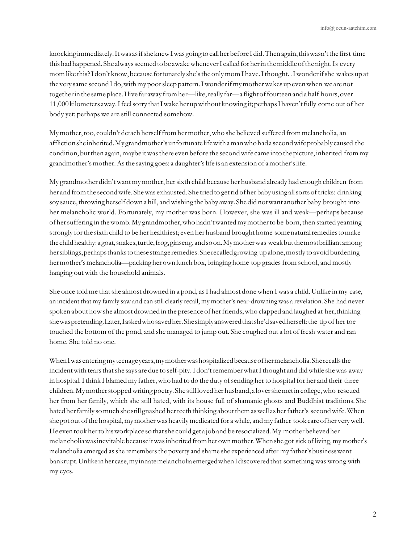knocking immediately. It was as if she knew I was going to call her before I did. Then again, this wasn't the first time this had happened. She always seemed to be awake whenever I called for her in the middle of the night. Is every mom like this? I don't know, because fortunately she's the only mom I have. I thought. . I wonder if she wakes up at the very same second I do, with my poor sleep pattern. I wonder if my mother wakes up even when we are not together in the same place. I live far away from her—like, really far—a flight of fourteen and a half hours, over 11,000 kilometers away.Ifeelsorry thatIwakeher upwithoutknowing it;perhapsIhaven'tfully come out of her body yet; perhaps we are still connected somehow.

My mother, too, couldn't detach herself from her mother, who she believed suffered from melancholia, an afflictionshe inherited.Mygrandmother'sunfortunatelifewithamanwhohada secondwifeprobably caused the condition, but then again, maybe it was there even before the second wife came into the picture, inherited from my grandmother's mother. As the saying goes: a daughter's life is an extension of a mother's life.

My grandmother didn'twantmymother, hersixth child because her husband already had enough children from her and fromthe secondwife. Shewas exhausted. She tried to getrid ofher baby using allsorts oftricks: drinking soy sauce, throwing herself down a hill, and wishing the baby away. She did not want another baby brought into her melancholic world. Fortunately, my mother was born. However, she was ill and weak—perhaps because of hersuffering in thewomb.My grandmother,who hadn'twantedmymotherto be born,then started yearning strongly forthe sixth child to be her healthiest; even her husband brought home somenaturalremediestomake thechildhealthy: agoat,snakes,turtle,frog,ginseng,andsoon.Mymotherwas weakbutthemostbrilliantamong hersiblings, perhaps thanks to these strange remedies. She recalled growing up alone, mostly to avoid burdening her mother's melancholia—packing her own lunch box, bringing home top grades from school, and mostly hanging out with the household animals.

She once told me that she almost drowned in a pond, as I had almost done when I was a child. Unlike in my case, an incident that my family saw and can still clearly recall, my mother's near-drowning was a revelation. She had never spoken about how she almost drowned in the presence of her friends, who clapped and laughed at her, thinking shewaspretending.Later,Iaskedwhosavedher.Shesimplyansweredthatshe'dsavedherself:the tip of her toe touched the bottom of the pond, and she managed to jump out. She coughed out a lot of fresh water and ran home. She told no one.

WhenIwasenteringmyteenageyears,mymotherwashospitalizedbecauseofhermelancholia.Sherecallsthe incident with tears that she says are due to self-pity. I don't remember what I thought and did while she was away in hospital. I think I blamed my father, who had to do the duty of sending her to hospital for her and their three children.Mymotherstoppedwritingpoetry.She still lovedherhusband, a lovershemetincollege,who rescued her from her family, which she still hated, with its house full of shamanic ghosts and Buddhist traditions. She hated herfamily somuch she still gnashed herteeth thinking aboutthemaswell asherfather's secondwife.When she got out of the hospital, my mother was heavily medicated for a while, and my father took care of her very well. He even took her to his workplace so that she could get a job and be resocialized. My mother believed her melancholia was inevitable because it was inherited from her own mother. When she got sick of living, my mother's melancholia emerged as she remembersthe poverty and shame she experienced after myfather'sbusinesswent bankrupt.Unlikeinhercase,myinnatemelancholiaemergedwhenIdiscoveredthat something was wrong with my eyes.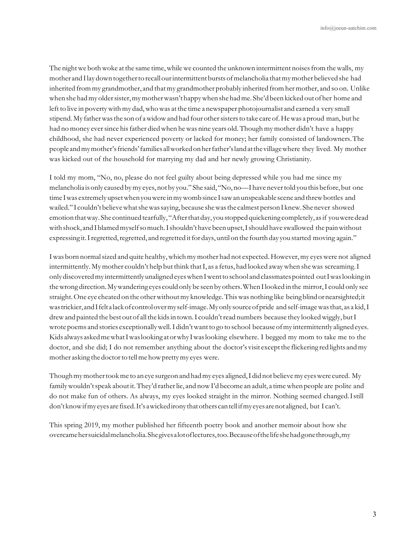The night we both woke at the same time, while we counted the unknown intermittent noises from the walls, my mother and Ilay down togetherto recall ourintermittent burstsofmelancholia thatmymother believed she had inherited from my grandmother, and that my grandmother probably inherited from her mother, and so on. Unlike when she had my older sister, my mother wasn't happy when she had me. She'd been kicked out of her home and left to live in poverty with my dad, who was at the time a newspaper photojournalist and earned a very small stipend. My father was the son of a widow and had four other sisters to take care of. He was a proud man, but he had no money eversince hisfather diedwhen hewas nine years old.Though my mother didn't have a happy childhood, she had never experienced poverty or lacked for money; her family consisted of landowners.The people andmymother'sfriends'families allworkedonherfather'slandatthevillagewhere they lived. My mother was kicked out of the household for marrying my dad and her newly growing Christianity.

I told my mom, "No, no, please do not feel guilty about being depressed while you had me since my melancholia is only caused bymy eyes, not by you." She said, "No, no—I have nevertold you this before, but one time Iwas extremelyupsetwhenyouwere inmywombsince Isawanunspeakable scene andthrewbottles and wailed." I couldn't believe what she was saying, because she was the calmest person I knew. She never showed emotion thatway. She continued tearfully, "Afterthatday, you stopped quickening completely, asif youweredead with shock, and I blamed myself so much. I shouldn't have been upset, I should have swallowed the pain without expressing it. I regretted, regretted, and regretted it for days, until on the fourth day you started moving again."

I was born normal sized and quite healthy, which my mother had not expected. However, my eyes were not aligned intermittently. My mother couldn't help but think that I, as a fetus, had looked away when she was screaming. I onlydiscoveredmy intermittentlyunaligned eyeswhenIwenttoschool andclassmatespointed outIwaslooking in thewrongdirection.Mywandering eyes could only be seen by others.WhenIlooked inthe mirror,I could only see straight.One eye cheated on the otherwithoutmy knowledge.Thiswas nothing like beingblindornearsighted;it was trickier, and I felt a lack of control over my self-image. My only source of pride and self-image was that, as a kid, I drew and painted the best out of all the kids in town. I couldn't read numbers because they looked wiggly, but I wrote poems and stories exceptionally well. I didn't want to go to school because of my intermittently aligned eyes. Kids always askedmewhatIwaslooking atorwhy Iwaslooking elsewhere. I begged my mom to take me to the doctor, and she did; I do not remember anything about the doctor's visit exceptthe flickering red lights andmy mother asking the doctor to tell me how pretty my eyes were.

Though my mother took me to an eye surgeon and had my eyes aligned, I did not believe my eyes were cured. My family wouldn't speak about it. They'd rather lie, and now I'd become an adult, a time when people are polite and do not make fun of others. As always, my eyes looked straight in the mirror. Nothing seemed changed.Istill don'tknowifmy eyes are fixed.It's awickedironythatothers cantellifmy eyes arenot aligned, but I can't.

This spring 2019, my mother published her fifteenth poetry book and another memoir about how she overcamehersuicidalmelancholia.Shegivesalotoflectures,too.Becauseofthelifeshehadgonethrough,my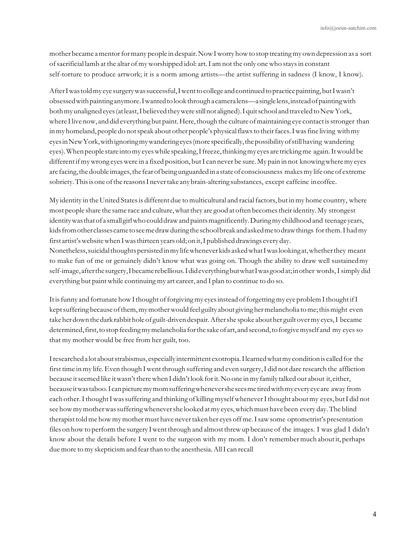mother became a mentor for many people in despair. Now I worry how to stop treating my own depression as a sort ofsacrificial lamb at the altar of myworshipped idol: art.I am not the only onewho staysin constant self-torture to produce artwork; it is a norm among artists—the artist suffering in sadness (I know, I know).

After I was told my eye surgery was successful, I went to college and continued to practice painting, but I wasn't obsessedwithpaintinganymore.Iwantedtolookthrougha camera lens—asinglelens,insteadofpaintingwith both my unaligned eyes (at least, I believed they were still not aligned). I quit school and traveled to New York, where I live now, and did everything but paint. Here, though the culture of maintaining eye contact is stronger than in my homeland, people do not speak about other people's physical flaws to their faces. I was fine living withmy eyesinNewYork,withignoringmywanderingeyes(more specifically,thepossibilityofstillhaving wandering eyes).Whenpeople stare intomy eyeswhile speaking,Ifreeze,thinkingmy eyes are trickingme again.Itwould be different if my wrong eyes were in a fixed position, but I can never be sure. My pain in not knowing where my eyes are facing, the double images, the fear of being unguarded in a state of consciousness makes my life one of extreme sobriety.Thisisone ofthe reasonsInevertake anybrain-altering substances, except caffeine incoffee.

My identity in the United States is different due to multicultural and racial factors, but in my home country, where most people share the same race and culture, what they are good at often becomes their identity. My strongest identity was that of a small girl who could draw and paints magnificently. During my childhood and teenage years, kids from other classes came to see me draw during the school break and asked me to draw things for them. I had my first artist'swebsitewhen Iwasthirteen years old; on it,I published drawings every day. Nonetheless, suicidal thoughts persisted in my life whenever kids asked what I was looking at, whether they meant to make fun of me or genuinely didn't know what was going on. Though the ability to draw well sustainedmy self-image, after the surgery, I became rebellious. I did everything but what I was good at; in other words, I simply did everything but paint while continuing my art career, and I plan to continue to do so.

It is funny and fortunate how I thought of forgiving my eyes instead of forgetting my eye problem I thought if I kept suffering because of them, my mother would feel guilty about giving her melancholia to me; this might even take her down thedark rabbithole of guilt-drivendespair.Aftershe spoke abouther guiltovermy eyes,I became determined, first, to stop feeding my melancholia for the sake of art, and second, to forgive myself and my eyes so that my mother would be free from her guilt, too.

Iresearcheda lot aboutstrabismus, especially intermittent exotropia.Ilearnedwhatmy conditionis calledfor the first time in my life. Even though I went through suffering and even surgery, I did not dare research the affliction because itseemed like itwasn'ttherewhen I didn'tlook forit.No one inmy family talked out about it,either, becauseitwastaboo.Icanpicturemymomsufferingwheneversheseesmetiredwithmyeveryeyeare away from each other. I thought I was suffering and thinking of killing myself whenever I thought about my eyes, but I did not see howmymotherwassufferingwhenevershe looked atmy eyes,whichmust have been every day.The blind therapist told me how my mother must have never taken her eyes off me. I saw some optometrist's presentation files on howto performthe surgery Iwentthrough and almostthrewup because of the images. I was glad I didn't know about the details before I went to the surgeon with my mom. I don't remembermuch aboutit, perhaps duemore tomy skepticism and fearthan to the anesthesia.AllI can recall